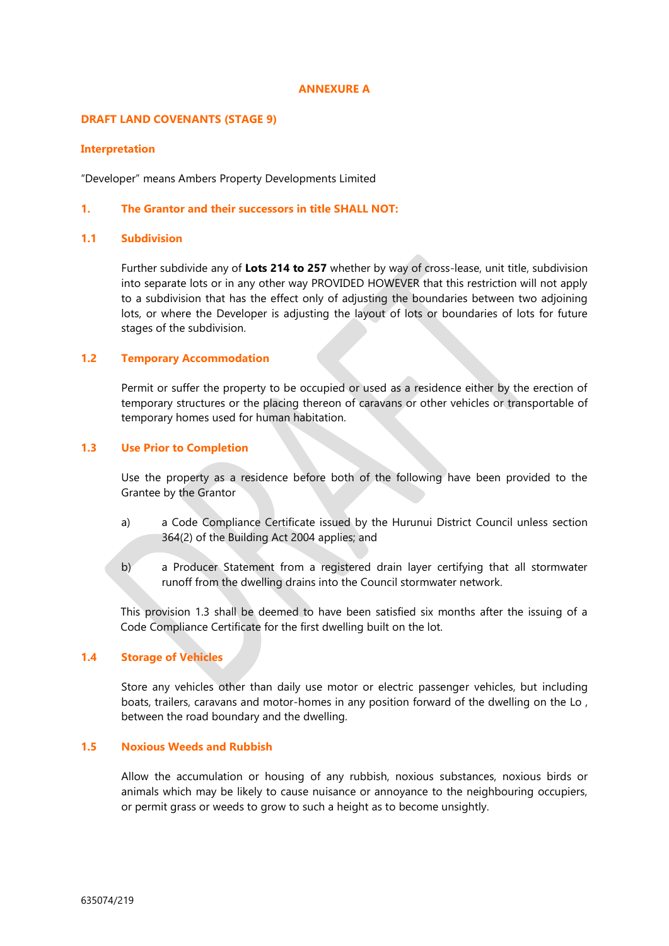#### **ANNEXURE A**

### **DRAFT LAND COVENANTS (STAGE 9)**

### **Interpretation**

"Developer" means Ambers Property Developments Limited

## **1. The Grantor and their successors in title SHALL NOT:**

# **1.1 Subdivision**

Further subdivide any of **Lots 214 to 257** whether by way of cross-lease, unit title, subdivision into separate lots or in any other way PROVIDED HOWEVER that this restriction will not apply to a subdivision that has the effect only of adjusting the boundaries between two adjoining lots, or where the Developer is adjusting the layout of lots or boundaries of lots for future stages of the subdivision.

## **1.2 Temporary Accommodation**

Permit or suffer the property to be occupied or used as a residence either by the erection of temporary structures or the placing thereon of caravans or other vehicles or transportable of temporary homes used for human habitation.

# **1.3 Use Prior to Completion**

Use the property as a residence before both of the following have been provided to the Grantee by the Grantor

- a) a Code Compliance Certificate issued by the Hurunui District Council unless section 364(2) of the Building Act 2004 applies; and
- b) a Producer Statement from a registered drain layer certifying that all stormwater runoff from the dwelling drains into the Council stormwater network.

This provision 1.3 shall be deemed to have been satisfied six months after the issuing of a Code Compliance Certificate for the first dwelling built on the lot.

# **1.4 Storage of Vehicles**

Store any vehicles other than daily use motor or electric passenger vehicles, but including boats, trailers, caravans and motor-homes in any position forward of the dwelling on the Lo , between the road boundary and the dwelling.

# **1.5 Noxious Weeds and Rubbish**

Allow the accumulation or housing of any rubbish, noxious substances, noxious birds or animals which may be likely to cause nuisance or annoyance to the neighbouring occupiers, or permit grass or weeds to grow to such a height as to become unsightly.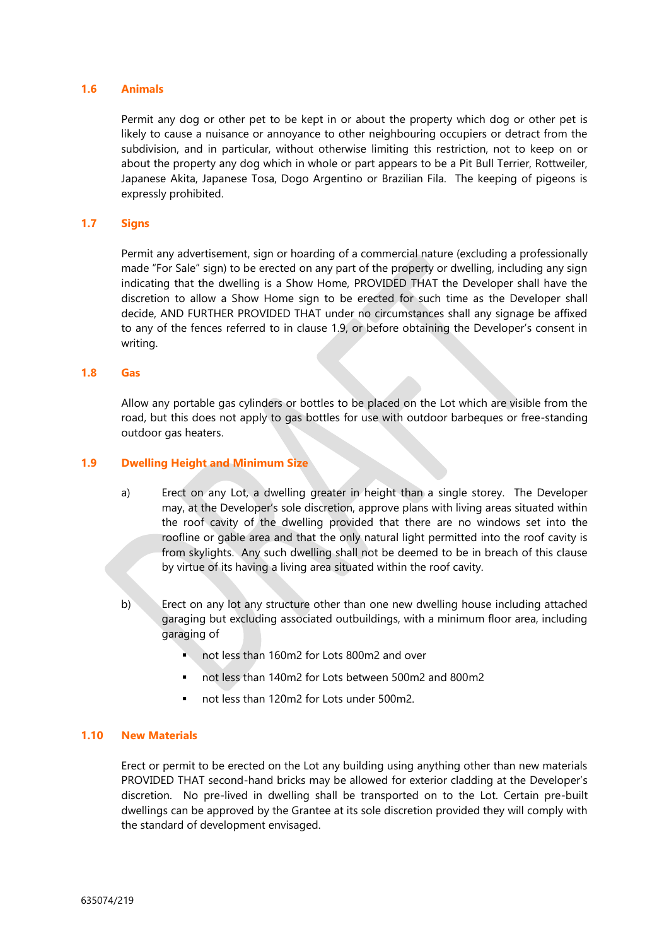## **1.6 Animals**

Permit any dog or other pet to be kept in or about the property which dog or other pet is likely to cause a nuisance or annoyance to other neighbouring occupiers or detract from the subdivision, and in particular, without otherwise limiting this restriction, not to keep on or about the property any dog which in whole or part appears to be a Pit Bull Terrier, Rottweiler, Japanese Akita, Japanese Tosa, Dogo Argentino or Brazilian Fila. The keeping of pigeons is expressly prohibited.

## **1.7 Signs**

Permit any advertisement, sign or hoarding of a commercial nature (excluding a professionally made "For Sale" sign) to be erected on any part of the property or dwelling, including any sign indicating that the dwelling is a Show Home, PROVIDED THAT the Developer shall have the discretion to allow a Show Home sign to be erected for such time as the Developer shall decide, AND FURTHER PROVIDED THAT under no circumstances shall any signage be affixed to any of the fences referred to in clause 1.9, or before obtaining the Developer's consent in writing.

#### **1.8 Gas**

Allow any portable gas cylinders or bottles to be placed on the Lot which are visible from the road, but this does not apply to gas bottles for use with outdoor barbeques or free-standing outdoor gas heaters.

# **1.9 Dwelling Height and Minimum Size**

- a) Erect on any Lot, a dwelling greater in height than a single storey. The Developer may, at the Developer's sole discretion, approve plans with living areas situated within the roof cavity of the dwelling provided that there are no windows set into the roofline or gable area and that the only natural light permitted into the roof cavity is from skylights. Any such dwelling shall not be deemed to be in breach of this clause by virtue of its having a living area situated within the roof cavity.
- b) Erect on any lot any structure other than one new dwelling house including attached garaging but excluding associated outbuildings, with a minimum floor area, including garaging of
	- not less than 160m2 for Lots 800m2 and over
	- not less than 140m2 for Lots between 500m2 and 800m2
	- not less than 120m2 for Lots under 500m2.

# **1.10 New Materials**

Erect or permit to be erected on the Lot any building using anything other than new materials PROVIDED THAT second-hand bricks may be allowed for exterior cladding at the Developer's discretion. No pre-lived in dwelling shall be transported on to the Lot. Certain pre-built dwellings can be approved by the Grantee at its sole discretion provided they will comply with the standard of development envisaged.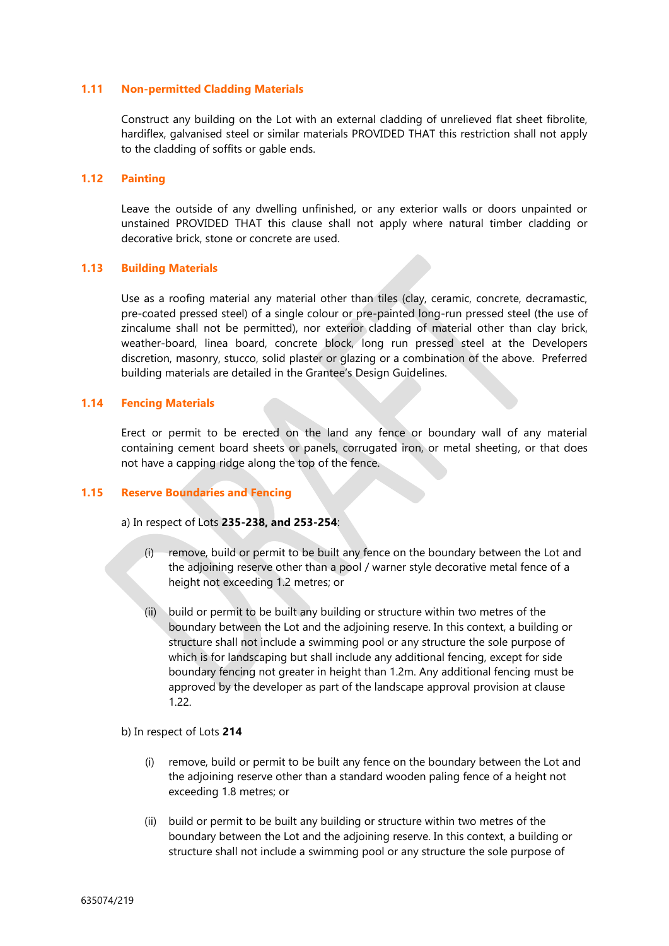### **1.11 Non-permitted Cladding Materials**

Construct any building on the Lot with an external cladding of unrelieved flat sheet fibrolite, hardiflex, galvanised steel or similar materials PROVIDED THAT this restriction shall not apply to the cladding of soffits or gable ends.

# **1.12 Painting**

Leave the outside of any dwelling unfinished, or any exterior walls or doors unpainted or unstained PROVIDED THAT this clause shall not apply where natural timber cladding or decorative brick, stone or concrete are used.

#### **1.13 Building Materials**

Use as a roofing material any material other than tiles (clay, ceramic, concrete, decramastic, pre-coated pressed steel) of a single colour or pre-painted long-run pressed steel (the use of zincalume shall not be permitted), nor exterior cladding of material other than clay brick, weather-board, linea board, concrete block, long run pressed steel at the Developers discretion, masonry, stucco, solid plaster or glazing or a combination of the above. Preferred building materials are detailed in the Grantee's Design Guidelines.

#### **1.14 Fencing Materials**

Erect or permit to be erected on the land any fence or boundary wall of any material containing cement board sheets or panels, corrugated iron, or metal sheeting, or that does not have a capping ridge along the top of the fence.

#### **1.15 Reserve Boundaries and Fencing**

a) In respect of Lots **235-238, and 253-254**:

- (i) remove, build or permit to be built any fence on the boundary between the Lot and the adjoining reserve other than a pool / warner style decorative metal fence of a height not exceeding 1.2 metres; or
- (ii) build or permit to be built any building or structure within two metres of the boundary between the Lot and the adjoining reserve. In this context, a building or structure shall not include a swimming pool or any structure the sole purpose of which is for landscaping but shall include any additional fencing, except for side boundary fencing not greater in height than 1.2m. Any additional fencing must be approved by the developer as part of the landscape approval provision at clause 1.22.

#### b) In respect of Lots **214**

- (i) remove, build or permit to be built any fence on the boundary between the Lot and the adjoining reserve other than a standard wooden paling fence of a height not exceeding 1.8 metres; or
- (ii) build or permit to be built any building or structure within two metres of the boundary between the Lot and the adjoining reserve. In this context, a building or structure shall not include a swimming pool or any structure the sole purpose of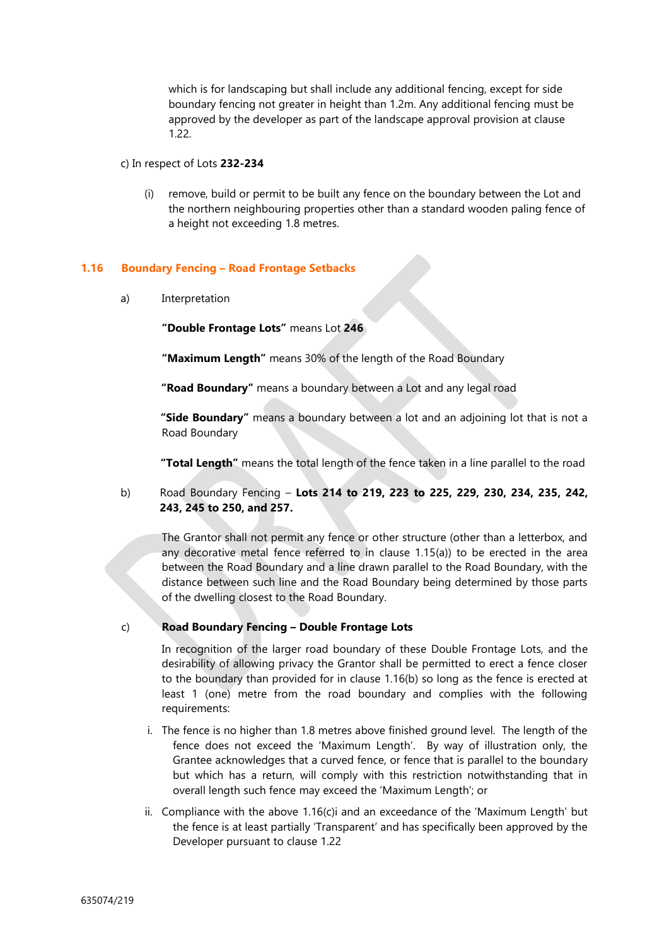which is for landscaping but shall include any additional fencing, except for side boundary fencing not greater in height than 1.2m. Any additional fencing must be approved by the developer as part of the landscape approval provision at clause 1.22.

#### c) In respect of Lots **232-234**

(i) remove, build or permit to be built any fence on the boundary between the Lot and the northern neighbouring properties other than a standard wooden paling fence of a height not exceeding 1.8 metres.

## **1.16 Boundary Fencing – Road Frontage Setbacks**

a) Interpretation

**"Double Frontage Lots"** means Lot **246**

**"Maximum Length"** means 30% of the length of the Road Boundary

**"Road Boundary"** means a boundary between a Lot and any legal road

**"Side Boundary"** means a boundary between a lot and an adjoining lot that is not a Road Boundary

**"Total Length"** means the total length of the fence taken in a line parallel to the road

b) Road Boundary Fencing – **Lots 214 to 219, 223 to 225, 229, 230, 234, 235, 242, 243, 245 to 250, and 257.**

The Grantor shall not permit any fence or other structure (other than a letterbox, and any decorative metal fence referred to in clause 1.15(a)) to be erected in the area between the Road Boundary and a line drawn parallel to the Road Boundary, with the distance between such line and the Road Boundary being determined by those parts of the dwelling closest to the Road Boundary.

# c) **Road Boundary Fencing – Double Frontage Lots**

In recognition of the larger road boundary of these Double Frontage Lots, and the desirability of allowing privacy the Grantor shall be permitted to erect a fence closer to the boundary than provided for in clause 1.16(b) so long as the fence is erected at least 1 (one) metre from the road boundary and complies with the following requirements:

- i. The fence is no higher than 1.8 metres above finished ground level. The length of the fence does not exceed the 'Maximum Length'. By way of illustration only, the Grantee acknowledges that a curved fence, or fence that is parallel to the boundary but which has a return, will comply with this restriction notwithstanding that in overall length such fence may exceed the 'Maximum Length'; or
- ii. Compliance with the above 1.16(c)i and an exceedance of the 'Maximum Length' but the fence is at least partially 'Transparent' and has specifically been approved by the Developer pursuant to clause 1.22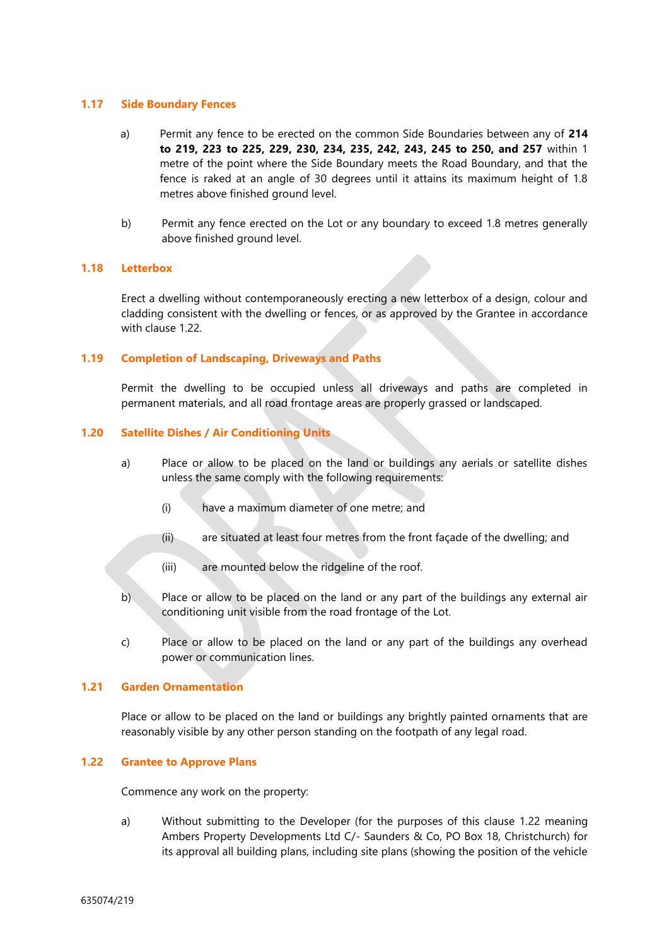### **1.17 Side Boundary Fences**

- a) Permit any fence to be erected on the common Side Boundaries between any of **214 to 219, 223 to 225, 229, 230, 234, 235, 242, 243, 245 to 250, and 257** within 1 metre of the point where the Side Boundary meets the Road Boundary, and that the fence is raked at an angle of 30 degrees until it attains its maximum height of 1.8 metres above finished ground level.
- b) Permit any fence erected on the Lot or any boundary to exceed 1.8 metres generally above finished ground level.

## **1.18 Letterbox**

Erect a dwelling without contemporaneously erecting a new letterbox of a design, colour and cladding consistent with the dwelling or fences, or as approved by the Grantee in accordance with clause 1.22.

## **1.19 Completion of Landscaping, Driveways and Paths**

Permit the dwelling to be occupied unless all driveways and paths are completed in permanent materials, and all road frontage areas are properly grassed or landscaped.

## **1.20 Satellite Dishes / Air Conditioning Units**

- a) Place or allow to be placed on the land or buildings any aerials or satellite dishes unless the same comply with the following requirements:
	- (i) have a maximum diameter of one metre; and
	- (ii) are situated at least four metres from the front façade of the dwelling; and
	- (iii) are mounted below the ridgeline of the roof.
- b) Place or allow to be placed on the land or any part of the buildings any external air conditioning unit visible from the road frontage of the Lot.
- c) Place or allow to be placed on the land or any part of the buildings any overhead power or communication lines.

# **1.21 Garden Ornamentation**

Place or allow to be placed on the land or buildings any brightly painted ornaments that are reasonably visible by any other person standing on the footpath of any legal road.

#### **1.22 Grantee to Approve Plans**

Commence any work on the property:

a) Without submitting to the Developer (for the purposes of this clause 1.22 meaning Ambers Property Developments Ltd C/- Saunders & Co, PO Box 18, Christchurch) for its approval all building plans, including site plans (showing the position of the vehicle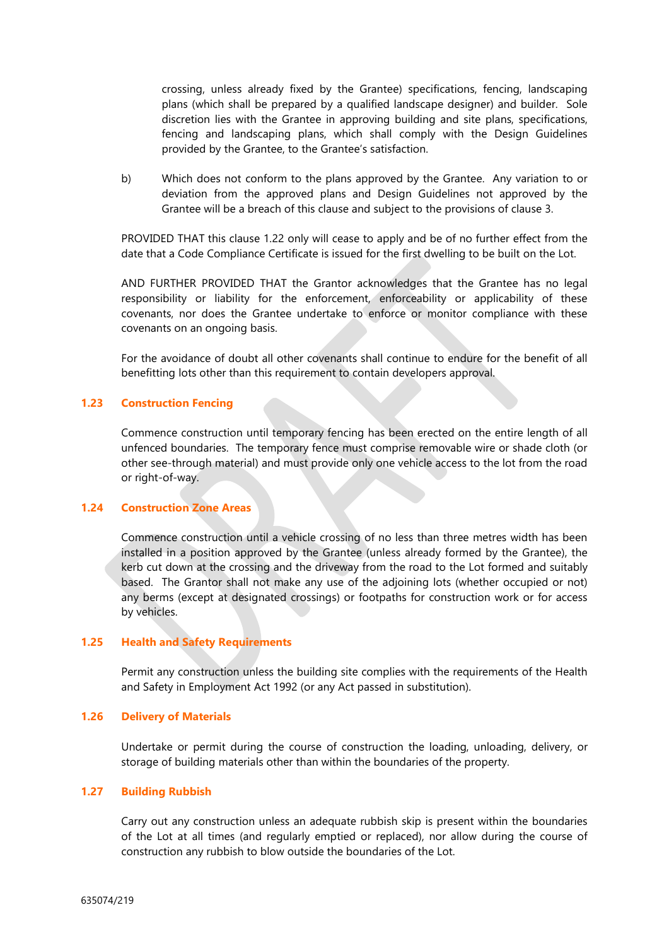crossing, unless already fixed by the Grantee) specifications, fencing, landscaping plans (which shall be prepared by a qualified landscape designer) and builder. Sole discretion lies with the Grantee in approving building and site plans, specifications, fencing and landscaping plans, which shall comply with the Design Guidelines provided by the Grantee, to the Grantee's satisfaction.

b) Which does not conform to the plans approved by the Grantee. Any variation to or deviation from the approved plans and Design Guidelines not approved by the Grantee will be a breach of this clause and subject to the provisions of clause 3.

PROVIDED THAT this clause 1.22 only will cease to apply and be of no further effect from the date that a Code Compliance Certificate is issued for the first dwelling to be built on the Lot.

AND FURTHER PROVIDED THAT the Grantor acknowledges that the Grantee has no legal responsibility or liability for the enforcement, enforceability or applicability of these covenants, nor does the Grantee undertake to enforce or monitor compliance with these covenants on an ongoing basis.

For the avoidance of doubt all other covenants shall continue to endure for the benefit of all benefitting lots other than this requirement to contain developers approval.

# **1.23 Construction Fencing**

Commence construction until temporary fencing has been erected on the entire length of all unfenced boundaries. The temporary fence must comprise removable wire or shade cloth (or other see-through material) and must provide only one vehicle access to the lot from the road or right-of-way.

#### **1.24 Construction Zone Areas**

Commence construction until a vehicle crossing of no less than three metres width has been installed in a position approved by the Grantee (unless already formed by the Grantee), the kerb cut down at the crossing and the driveway from the road to the Lot formed and suitably based. The Grantor shall not make any use of the adjoining lots (whether occupied or not) any berms (except at designated crossings) or footpaths for construction work or for access by vehicles.

#### **1.25 Health and Safety Requirements**

Permit any construction unless the building site complies with the requirements of the Health and Safety in Employment Act 1992 (or any Act passed in substitution).

#### **1.26 Delivery of Materials**

Undertake or permit during the course of construction the loading, unloading, delivery, or storage of building materials other than within the boundaries of the property.

#### **1.27 Building Rubbish**

Carry out any construction unless an adequate rubbish skip is present within the boundaries of the Lot at all times (and regularly emptied or replaced), nor allow during the course of construction any rubbish to blow outside the boundaries of the Lot.